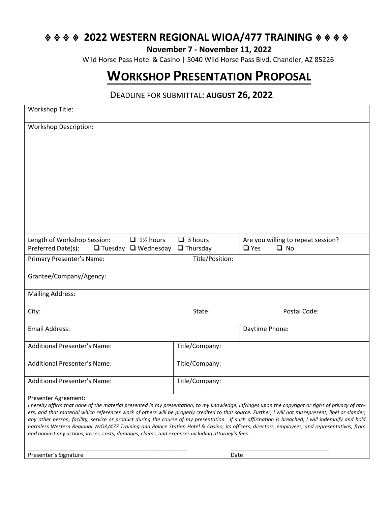## **2022 WESTERN REGIONAL WIOA/477 TRAINING ↓↓↓↓**

**November 7 - November 11, 2022**

Wild Horse Pass Hotel & Casino | 5040 Wild Horse Pass Blvd, Chandler, AZ 85226

## **WORKSHOP PRESENTATION PROPOSAL**

## DEADLINE FOR SUBMITTAL: **AUGUST 26, 2022**

| Workshop Title:                                                                                                                                                                                                                                                                                                                                                                                                                                              |                                                                      |                 |                                                               |              |
|--------------------------------------------------------------------------------------------------------------------------------------------------------------------------------------------------------------------------------------------------------------------------------------------------------------------------------------------------------------------------------------------------------------------------------------------------------------|----------------------------------------------------------------------|-----------------|---------------------------------------------------------------|--------------|
| <b>Workshop Description:</b>                                                                                                                                                                                                                                                                                                                                                                                                                                 |                                                                      |                 |                                                               |              |
|                                                                                                                                                                                                                                                                                                                                                                                                                                                              |                                                                      |                 |                                                               |              |
|                                                                                                                                                                                                                                                                                                                                                                                                                                                              |                                                                      |                 |                                                               |              |
|                                                                                                                                                                                                                                                                                                                                                                                                                                                              |                                                                      |                 |                                                               |              |
|                                                                                                                                                                                                                                                                                                                                                                                                                                                              |                                                                      |                 |                                                               |              |
|                                                                                                                                                                                                                                                                                                                                                                                                                                                              |                                                                      |                 |                                                               |              |
| Length of Workshop Session:<br>$\Box$ 1% hours<br>Preferred Date(s):                                                                                                                                                                                                                                                                                                                                                                                         | $\Box$ 3 hours<br>$\Box$ Tuesday $\Box$ Wednesday<br>$\Box$ Thursday |                 | Are you willing to repeat session?<br>$\Box$ Yes<br>$\Box$ No |              |
| Primary Presenter's Name:                                                                                                                                                                                                                                                                                                                                                                                                                                    |                                                                      | Title/Position: |                                                               |              |
| Grantee/Company/Agency:                                                                                                                                                                                                                                                                                                                                                                                                                                      |                                                                      |                 |                                                               |              |
| <b>Mailing Address:</b>                                                                                                                                                                                                                                                                                                                                                                                                                                      |                                                                      |                 |                                                               |              |
| City:                                                                                                                                                                                                                                                                                                                                                                                                                                                        |                                                                      | State:          |                                                               | Postal Code: |
| <b>Email Address:</b>                                                                                                                                                                                                                                                                                                                                                                                                                                        |                                                                      |                 | Daytime Phone:                                                |              |
| Additional Presenter's Name:                                                                                                                                                                                                                                                                                                                                                                                                                                 |                                                                      | Title/Company:  |                                                               |              |
| <b>Additional Presenter's Name:</b>                                                                                                                                                                                                                                                                                                                                                                                                                          |                                                                      | Title/Company:  |                                                               |              |
| <b>Additional Presenter's Name:</b>                                                                                                                                                                                                                                                                                                                                                                                                                          |                                                                      | Title/Company:  |                                                               |              |
| Presenter Agreement:                                                                                                                                                                                                                                                                                                                                                                                                                                         |                                                                      |                 |                                                               |              |
| I hereby affirm that none of the material presented in my presentation, to my knowledge, infringes upon the copyright or right of privacy of oth-<br>ers, and that material which references work of others will be properly credited to that source. Further, I will not misrepresent, libel or slander,<br>any other person, facility, service or product during the course of my presentation. If such affirmation is breached, I will indemnify and hold |                                                                      |                 |                                                               |              |
| harmless Western Regional WIOA/477 Training and Palace Station Hotel & Casino, its officers, directors, employees, and representatives, from<br>and against any actions, losses, costs, damages, claims, and expenses including attorney's fees.                                                                                                                                                                                                             |                                                                      |                 |                                                               |              |
| Presenter's Signature                                                                                                                                                                                                                                                                                                                                                                                                                                        |                                                                      | Date            |                                                               |              |